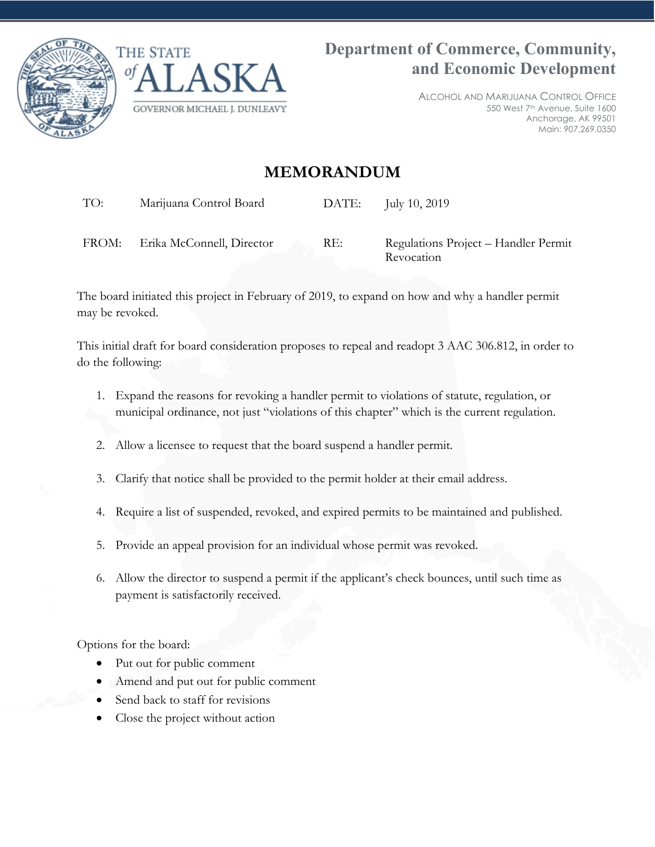



ALCOHOL AND MARIJUANA CONTROL OFFICE 550 West 7<sup>th</sup> Avenue, Suite 1600 Anchorage, AK 99501 Main: 907.269.0350

## **MEMORANDUM**

TO: Marijuana Control Board DATE: July 10, 2019

FROM: Erika McConnell, Director RE: Regulations Project – Handler Permit Revocation

The board initiated this project in February of 2019, to expand on how and why a handler permit may be revoked.

This initial draft for board consideration proposes to repeal and readopt 3 AAC 306.812, in order to do the following:

- 1. Expand the reasons for revoking a handler permit to violations of statute, regulation, or municipal ordinance, not just "violations of this chapter" which is the current regulation.
- 2. Allow a licensee to request that the board suspend a handler permit.
- 3. Clarify that notice shall be provided to the permit holder at their email address.
- 4. Require a list of suspended, revoked, and expired permits to be maintained and published.
- 5. Provide an appeal provision for an individual whose permit was revoked.
- 6. Allow the director to suspend a permit if the applicant's check bounces, until such time as payment is satisfactorily received.

Options for the board:

- Put out for public comment
- Amend and put out for public comment
- Send back to staff for revisions
- Close the project without action